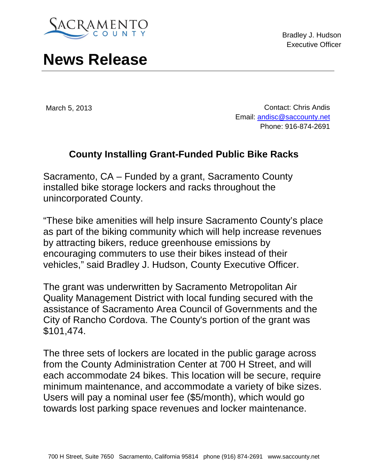

Bradley J. Hudson Executive Officer

## **News Release**

March 5, 2013

Contact: Chris Andis Email: [andisc@saccounty.net](mailto:andisc@saccounty.net) Phone: 916-874-2691

## **County Installing Grant-Funded Public Bike Racks**

Sacramento, CA – Funded by a grant, Sacramento County installed bike storage lockers and racks throughout the unincorporated County.

"These bike amenities will help insure Sacramento County's place as part of the biking community which will help increase revenues by attracting bikers, reduce greenhouse emissions by encouraging commuters to use their bikes instead of their vehicles," said Bradley J. Hudson, County Executive Officer.

The grant was underwritten by Sacramento Metropolitan Air Quality Management District with local funding secured with the assistance of Sacramento Area Council of Governments and the City of Rancho Cordova. The County's portion of the grant was \$101,474.

The three sets of lockers are located in the public garage across from the County Administration Center at 700 H Street, and will each accommodate 24 bikes. This location will be secure, require minimum maintenance, and accommodate a variety of bike sizes. Users will pay a nominal user fee (\$5/month), which would go towards lost parking space revenues and locker maintenance.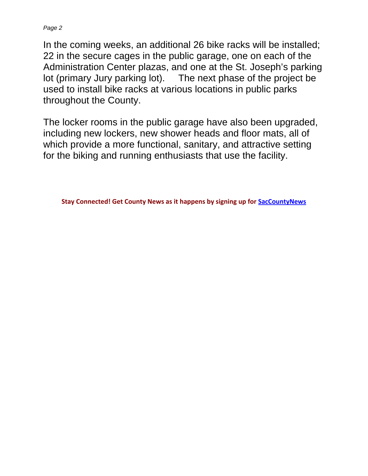*Page 2*

In the coming weeks, an additional 26 bike racks will be installed; 22 in the secure cages in the public garage, one on each of the Administration Center plazas, and one at the St. Joseph's parking lot (primary Jury parking lot). The next phase of the project be used to install bike racks at various locations in public parks throughout the County.

The locker rooms in the public garage have also been upgraded, including new lockers, new shower heads and floor mats, all of which provide a more functional, sanitary, and attractive setting for the biking and running enthusiasts that use the facility.

**Stay Connected! Get County News as it happens by signing up for [SacCountyNews](http://www.saccounty.net/SAC_SC_DF_EmailUpdates)**